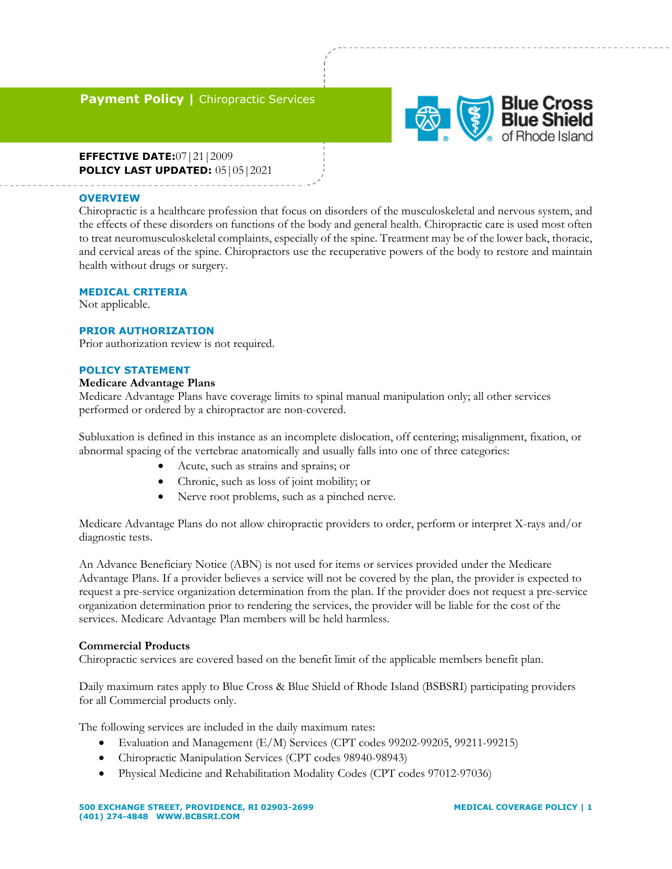# **Payment Policy | Chiropractic Services**



**EFFECTIVE DATE:**07|21|2009 **POLICY LAST UPDATED:** 05|05|2021

### **OVERVIEW**

Chiropractic is a healthcare profession that focus on disorders of the musculoskeletal and nervous system, and the effects of these disorders on functions of the body and general health. Chiropractic care is used most often to treat neuromusculoskeletal complaints, especially of the spine. Treatment may be of the lower back, thoracic, and cervical areas of the spine. Chiropractors use the recuperative powers of the body to restore and maintain health without drugs or surgery.

### **MEDICAL CRITERIA**

Not applicable.

### **PRIOR AUTHORIZATION**

Prior authorization review is not required.

### **POLICY STATEMENT**

### **Medicare Advantage Plans**

Medicare Advantage Plans have coverage limits to spinal manual manipulation only; all other services performed or ordered by a chiropractor are non-covered.

Subluxation is defined in this instance as an incomplete dislocation, off centering; misalignment, fixation, or abnormal spacing of the vertebrae anatomically and usually falls into one of three categories:

- Acute, such as strains and sprains; or
- Chronic, such as loss of joint mobility; or
- Nerve root problems, such as a pinched nerve.

Medicare Advantage Plans do not allow chiropractic providers to order, perform or interpret X-rays and/or diagnostic tests.

An Advance Beneficiary Notice (ABN) is not used for items or services provided under the Medicare Advantage Plans. If a provider believes a service will not be covered by the plan, the provider is expected to request a pre-service organization determination from the plan. If the provider does not request a pre-service organization determination prior to rendering the services, the provider will be liable for the cost of the services. Medicare Advantage Plan members will be held harmless.

### **Commercial Products**

Chiropractic services are covered based on the benefit limit of the applicable members benefit plan.

Daily maximum rates apply to Blue Cross & Blue Shield of Rhode Island (BSBSRI) participating providers for all Commercial products only.

The following services are included in the daily maximum rates:

- Evaluation and Management (E/M) Services (CPT codes 99202-99205, 99211-99215)
- Chiropractic Manipulation Services (CPT codes 98940-98943)
- Physical Medicine and Rehabilitation Modality Codes (CPT codes 97012-97036)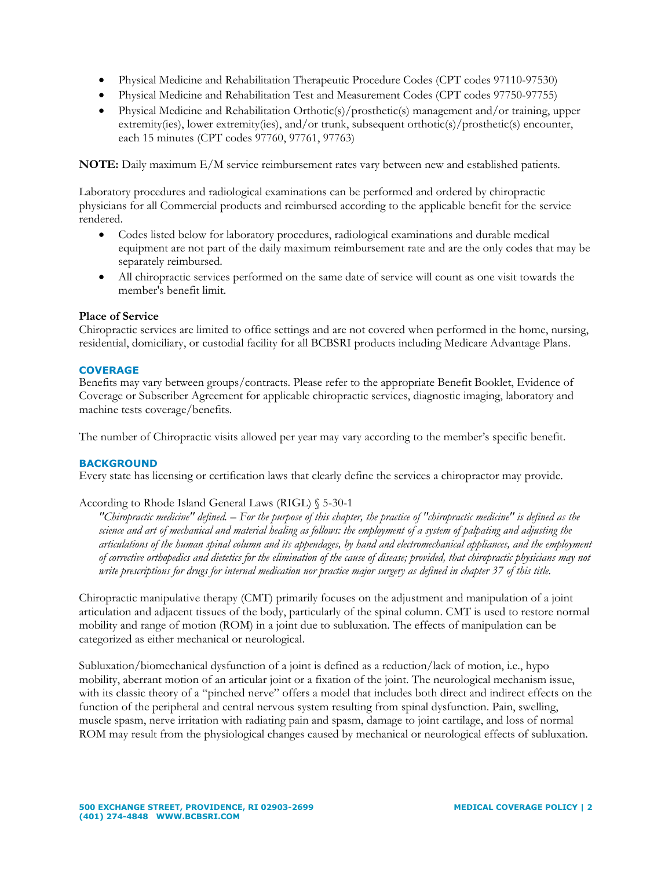- Physical Medicine and Rehabilitation Therapeutic Procedure Codes (CPT codes 97110-97530)
- Physical Medicine and Rehabilitation Test and Measurement Codes (CPT codes 97750-97755)
- Physical Medicine and Rehabilitation Orthotic(s)/prosthetic(s) management and/or training, upper extremity(ies), lower extremity(ies), and/or trunk, subsequent orthotic(s)/prosthetic(s) encounter, each 15 minutes (CPT codes 97760, 97761, 97763)

**NOTE:** Daily maximum E/M service reimbursement rates vary between new and established patients.

Laboratory procedures and radiological examinations can be performed and ordered by chiropractic physicians for all Commercial products and reimbursed according to the applicable benefit for the service rendered.

- Codes listed below for laboratory procedures, radiological examinations and durable medical equipment are not part of the daily maximum reimbursement rate and are the only codes that may be separately reimbursed.
- All chiropractic services performed on the same date of service will count as one visit towards the member's benefit limit.

### **Place of Service**

Chiropractic services are limited to office settings and are not covered when performed in the home, nursing, residential, domiciliary, or custodial facility for all BCBSRI products including Medicare Advantage Plans.

### **COVERAGE**

Benefits may vary between groups/contracts. Please refer to the appropriate Benefit Booklet, Evidence of Coverage or Subscriber Agreement for applicable chiropractic services, diagnostic imaging, laboratory and machine tests coverage/benefits.

The number of Chiropractic visits allowed per year may vary according to the member's specific benefit.

### **BACKGROUND**

Every state has licensing or certification laws that clearly define the services a chiropractor may provide.

### According to Rhode Island General Laws (RIGL) § 5-30-1

*"Chiropractic medicine" defined. – For the purpose of this chapter, the practice of "chiropractic medicine" is defined as the science and art of mechanical and material healing as follows: the employment of a system of palpating and adjusting the articulations of the human spinal column and its appendages, by hand and electromechanical appliances, and the employment of corrective orthopedics and dietetics for the elimination of the cause of disease; provided, that chiropractic physicians may not write prescriptions for drugs for internal medication nor practice major surgery as defined in chapter 37 of this title.* 

Chiropractic manipulative therapy (CMT) primarily focuses on the adjustment and manipulation of a joint articulation and adjacent tissues of the body, particularly of the spinal column. CMT is used to restore normal mobility and range of motion (ROM) in a joint due to subluxation. The effects of manipulation can be categorized as either mechanical or neurological.

Subluxation/biomechanical dysfunction of a joint is defined as a reduction/lack of motion, i.e., hypo mobility, aberrant motion of an articular joint or a fixation of the joint. The neurological mechanism issue, with its classic theory of a "pinched nerve" offers a model that includes both direct and indirect effects on the function of the peripheral and central nervous system resulting from spinal dysfunction. Pain, swelling, muscle spasm, nerve irritation with radiating pain and spasm, damage to joint cartilage, and loss of normal ROM may result from the physiological changes caused by mechanical or neurological effects of subluxation.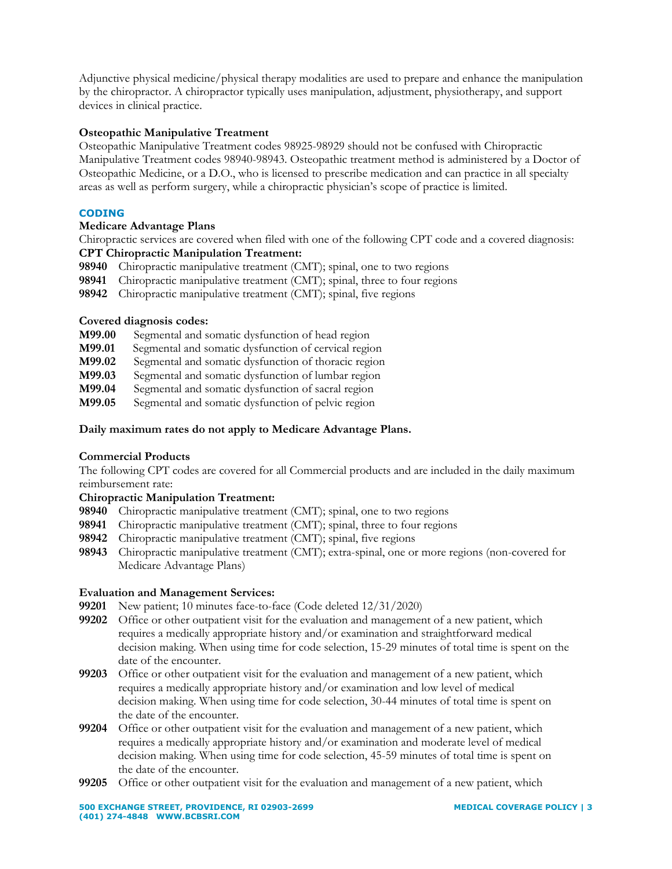Adjunctive physical medicine/physical therapy modalities are used to prepare and enhance the manipulation by the chiropractor. A chiropractor typically uses manipulation, adjustment, physiotherapy, and support devices in clinical practice.

# **Osteopathic Manipulative Treatment**

Osteopathic Manipulative Treatment codes 98925-98929 should not be confused with Chiropractic Manipulative Treatment codes 98940-98943. Osteopathic treatment method is administered by a Doctor of Osteopathic Medicine, or a D.O., who is licensed to prescribe medication and can practice in all specialty areas as well as perform surgery, while a chiropractic physician's scope of practice is limited.

## **CODING**

## **Medicare Advantage Plans**

Chiropractic services are covered when filed with one of the following CPT code and a covered diagnosis: **CPT Chiropractic Manipulation Treatment:** 

- **98940** Chiropractic manipulative treatment (CMT); spinal, one to two regions
- **98941** Chiropractic manipulative treatment (CMT); spinal, three to four regions
- **98942** Chiropractic manipulative treatment (CMT); spinal, five regions

## **Covered diagnosis codes:**

- **M99.00** Segmental and somatic dysfunction of head region
- **M99.01** Segmental and somatic dysfunction of cervical region
- **M99.02** Segmental and somatic dysfunction of thoracic region
- **M99.03** Segmental and somatic dysfunction of lumbar region
- **M99.04** Segmental and somatic dysfunction of sacral region
- **M99.05** Segmental and somatic dysfunction of pelvic region

## **Daily maximum rates do not apply to Medicare Advantage Plans.**

## **Commercial Products**

The following CPT codes are covered for all Commercial products and are included in the daily maximum reimbursement rate:

## **Chiropractic Manipulation Treatment:**

- **98940** Chiropractic manipulative treatment (CMT); spinal, one to two regions
- **98941** Chiropractic manipulative treatment (CMT); spinal, three to four regions
- **98942** Chiropractic manipulative treatment (CMT); spinal, five regions
- **98943** Chiropractic manipulative treatment (CMT); extra-spinal, one or more regions (non-covered for Medicare Advantage Plans)

## **Evaluation and Management Services:**

- **99201** New patient; 10 minutes face-to-face (Code deleted 12/31/2020)
- **99202** Office or other outpatient visit for the evaluation and management of a new patient, which requires a medically appropriate history and/or examination and straightforward medical decision making. When using time for code selection, 15-29 minutes of total time is spent on the date of the encounter.
- **99203** Office or other outpatient visit for the evaluation and management of a new patient, which requires a medically appropriate history and/or examination and low level of medical decision making. When using time for code selection, 30-44 minutes of total time is spent on the date of the encounter.
- **99204** Office or other outpatient visit for the evaluation and management of a new patient, which requires a medically appropriate history and/or examination and moderate level of medical decision making. When using time for code selection, 45-59 minutes of total time is spent on the date of the encounter.
- **99205** Office or other outpatient visit for the evaluation and management of a new patient, which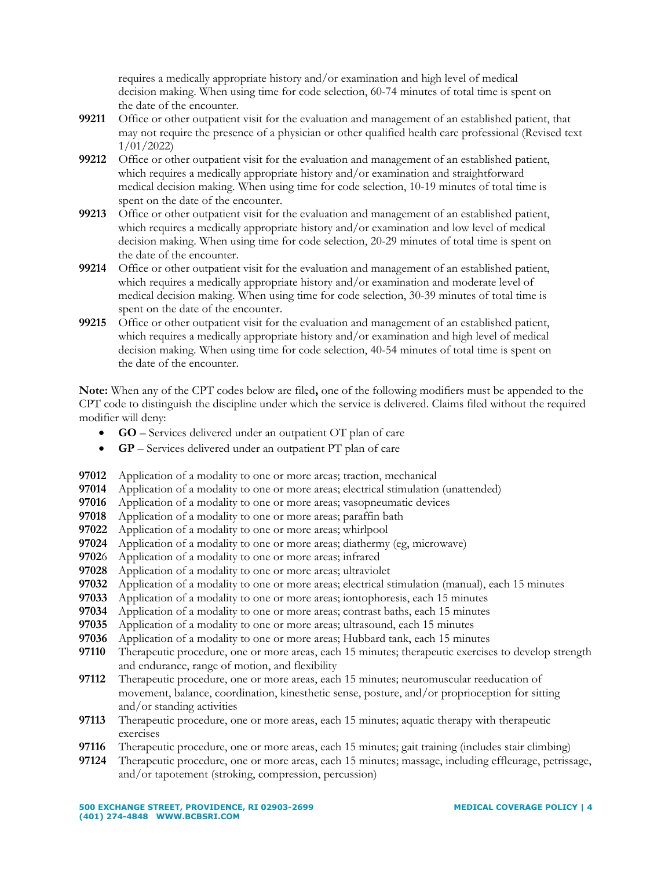requires a medically appropriate history and/or examination and high level of medical decision making. When using time for code selection, 60-74 minutes of total time is spent on the date of the encounter.

- **99211** Office or other outpatient visit for the evaluation and management of an established patient, that may not require the presence of a physician or other qualified health care professional (Revised text 1/01/2022)
- **99212** Office or other outpatient visit for the evaluation and management of an established patient, which requires a medically appropriate history and/or examination and straightforward medical decision making. When using time for code selection, 10-19 minutes of total time is spent on the date of the encounter.
- **99213** Office or other outpatient visit for the evaluation and management of an established patient, which requires a medically appropriate history and/or examination and low level of medical decision making. When using time for code selection, 20-29 minutes of total time is spent on the date of the encounter.
- **99214** Office or other outpatient visit for the evaluation and management of an established patient, which requires a medically appropriate history and/or examination and moderate level of medical decision making. When using time for code selection, 30-39 minutes of total time is spent on the date of the encounter.
- **99215** Office or other outpatient visit for the evaluation and management of an established patient, which requires a medically appropriate history and/or examination and high level of medical decision making. When using time for code selection, 40-54 minutes of total time is spent on the date of the encounter.

**Note:** When any of the CPT codes below are filed**,** one of the following modifiers must be appended to the CPT code to distinguish the discipline under which the service is delivered. Claims filed without the required modifier will deny:

- **GO**  Services delivered under an outpatient OT plan of care
- **GP**  Services delivered under an outpatient PT plan of care
- **97012** Application of a modality to one or more areas; traction, mechanical
- **97014** Application of a modality to one or more areas; electrical stimulation (unattended)
- **97016** Application of a modality to one or more areas; vasopneumatic devices
- **97018** Application of a modality to one or more areas; paraffin bath
- **97022** Application of a modality to one or more areas; whirlpool
- **97024** Application of a modality to one or more areas; diathermy (eg, microwave)
- **9702**6 Application of a modality to one or more areas; infrared
- **97028** Application of a modality to one or more areas; ultraviolet
- **97032** Application of a modality to one or more areas; electrical stimulation (manual), each 15 minutes
- **97033** Application of a modality to one or more areas; iontophoresis, each 15 minutes
- **97034** Application of a modality to one or more areas; contrast baths, each 15 minutes
- **97035** Application of a modality to one or more areas; ultrasound, each 15 minutes
- **97036** Application of a modality to one or more areas; Hubbard tank, each 15 minutes
- **97110** Therapeutic procedure, one or more areas, each 15 minutes; therapeutic exercises to develop strength and endurance, range of motion, and flexibility
- **97112** Therapeutic procedure, one or more areas, each 15 minutes; neuromuscular reeducation of movement, balance, coordination, kinesthetic sense, posture, and/or proprioception for sitting and/or standing activities
- **97113** Therapeutic procedure, one or more areas, each 15 minutes; aquatic therapy with therapeutic exercises
- **97116** Therapeutic procedure, one or more areas, each 15 minutes; gait training (includes stair climbing)
- **97124** Therapeutic procedure, one or more areas, each 15 minutes; massage, including effleurage, petrissage, and/or tapotement (stroking, compression, percussion)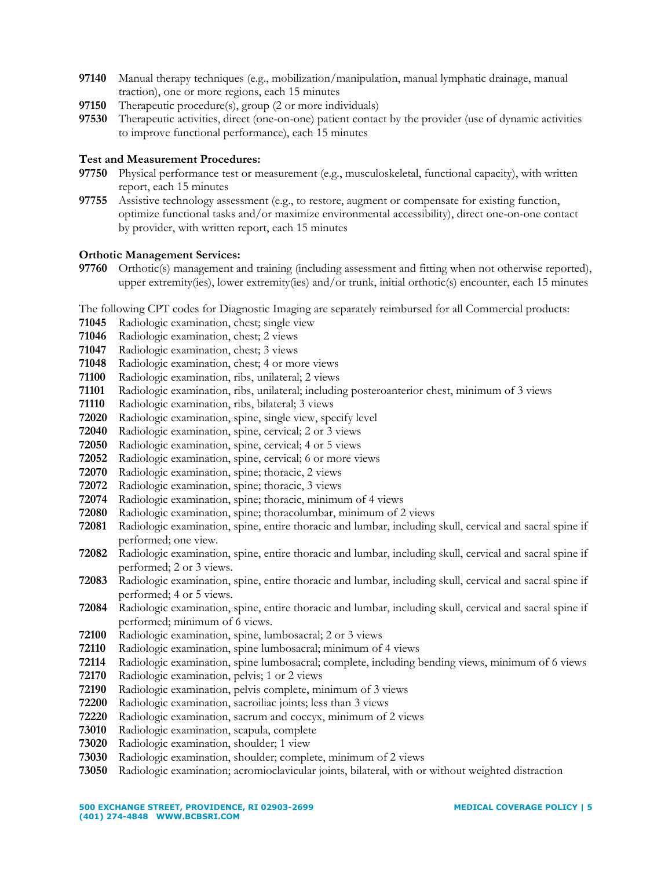- Manual therapy techniques (e.g., mobilization/manipulation, manual lymphatic drainage, manual traction), one or more regions, each 15 minutes
- Therapeutic procedure(s), group (2 or more individuals)
- Therapeutic activities, direct (one-on-one) patient contact by the provider (use of dynamic activities to improve functional performance), each 15 minutes

## **Test and Measurement Procedures:**

- Physical performance test or measurement (e.g., musculoskeletal, functional capacity), with written report, each 15 minutes
- Assistive technology assessment (e.g., to restore, augment or compensate for existing function, optimize functional tasks and/or maximize environmental accessibility), direct one-on-one contact by provider, with written report, each 15 minutes

## **Orthotic Management Services:**

 Orthotic(s) management and training (including assessment and fitting when not otherwise reported), upper extremity(ies), lower extremity(ies) and/or trunk, initial orthotic(s) encounter, each 15 minutes

The following CPT codes for Diagnostic Imaging are separately reimbursed for all Commercial products:

- Radiologic examination, chest; single view
- Radiologic examination, chest; 2 views
- Radiologic examination, chest; 3 views
- Radiologic examination, chest; 4 or more views
- Radiologic examination, ribs, unilateral; 2 views
- Radiologic examination, ribs, unilateral; including posteroanterior chest, minimum of 3 views
- Radiologic examination, ribs, bilateral; 3 views
- Radiologic examination, spine, single view, specify level
- Radiologic examination, spine, cervical; 2 or 3 views
- Radiologic examination, spine, cervical; 4 or 5 views
- Radiologic examination, spine, cervical; 6 or more views
- Radiologic examination, spine; thoracic, 2 views
- Radiologic examination, spine; thoracic, 3 views
- Radiologic examination, spine; thoracic, minimum of 4 views
- Radiologic examination, spine; thoracolumbar, minimum of 2 views
- Radiologic examination, spine, entire thoracic and lumbar, including skull, cervical and sacral spine if performed; one view.
- Radiologic examination, spine, entire thoracic and lumbar, including skull, cervical and sacral spine if performed; 2 or 3 views.
- Radiologic examination, spine, entire thoracic and lumbar, including skull, cervical and sacral spine if performed; 4 or 5 views.
- Radiologic examination, spine, entire thoracic and lumbar, including skull, cervical and sacral spine if performed; minimum of 6 views.
- Radiologic examination, spine, lumbosacral; 2 or 3 views
- Radiologic examination, spine lumbosacral; minimum of 4 views
- Radiologic examination, spine lumbosacral; complete, including bending views, minimum of 6 views
- Radiologic examination, pelvis; 1 or 2 views
- Radiologic examination, pelvis complete, minimum of 3 views
- Radiologic examination, sacroiliac joints; less than 3 views
- Radiologic examination, sacrum and coccyx, minimum of 2 views
- Radiologic examination, scapula, complete
- Radiologic examination, shoulder; 1 view
- Radiologic examination, shoulder; complete, minimum of 2 views
- Radiologic examination; acromioclavicular joints, bilateral, with or without weighted distraction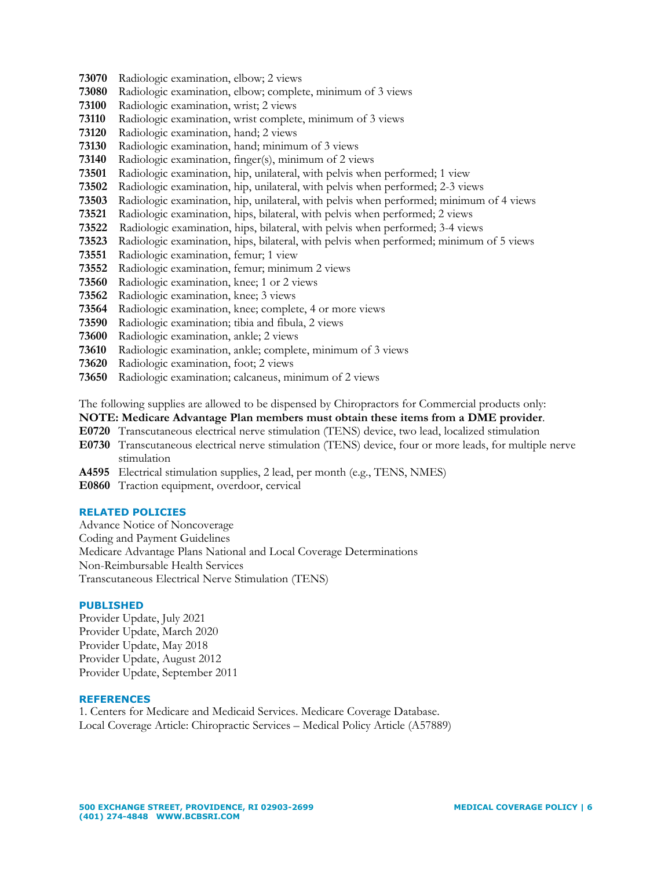- **73070** Radiologic examination, elbow; 2 views
- **73080** Radiologic examination, elbow; complete, minimum of 3 views
- **73100** Radiologic examination, wrist; 2 views
- **73110** Radiologic examination, wrist complete, minimum of 3 views
- **73120** Radiologic examination, hand; 2 views
- **73130** Radiologic examination, hand; minimum of 3 views
- **73140** Radiologic examination, finger(s), minimum of 2 views
- **73501** Radiologic examination, hip, unilateral, with pelvis when performed; 1 view
- **73502** Radiologic examination, hip, unilateral, with pelvis when performed; 2-3 views
- **73503** Radiologic examination, hip, unilateral, with pelvis when performed; minimum of 4 views
- **73521** Radiologic examination, hips, bilateral, with pelvis when performed; 2 views
- **73522** Radiologic examination, hips, bilateral, with pelvis when performed; 3-4 views
- **73523** Radiologic examination, hips, bilateral, with pelvis when performed; minimum of 5 views
- **73551** Radiologic examination, femur; 1 view
- **73552** Radiologic examination, femur; minimum 2 views
- **73560** Radiologic examination, knee; 1 or 2 views
- **73562** Radiologic examination, knee; 3 views
- **73564** Radiologic examination, knee; complete, 4 or more views
- **73590** Radiologic examination; tibia and fibula, 2 views
- **73600** Radiologic examination, ankle; 2 views
- **73610** Radiologic examination, ankle; complete, minimum of 3 views
- **73620** Radiologic examination, foot; 2 views
- **73650** Radiologic examination; calcaneus, minimum of 2 views

The following supplies are allowed to be dispensed by Chiropractors for Commercial products only:

# **NOTE: Medicare Advantage Plan members must obtain these items from a DME provider**.

- **E0720** Transcutaneous electrical nerve stimulation (TENS) device, two lead, localized stimulation
- **E0730** Transcutaneous electrical nerve stimulation (TENS) device, four or more leads, for multiple nerve stimulation
- **A4595** Electrical stimulation supplies, 2 lead, per month (e.g., TENS, NMES)
- **E0860** Traction equipment, overdoor, cervical

# **RELATED POLICIES**

Advance Notice of Noncoverage Coding and Payment Guidelines Medicare Advantage Plans National and Local Coverage Determinations Non-Reimbursable Health Services Transcutaneous Electrical Nerve Stimulation (TENS)

## **PUBLISHED**

Provider Update, July 2021 Provider Update, March 2020 Provider Update, May 2018 Provider Update, August 2012 Provider Update, September 2011

## **REFERENCES**

1. Centers for Medicare and Medicaid Services. Medicare Coverage Database. Local Coverage Article: Chiropractic Services – Medical Policy Article (A57889)